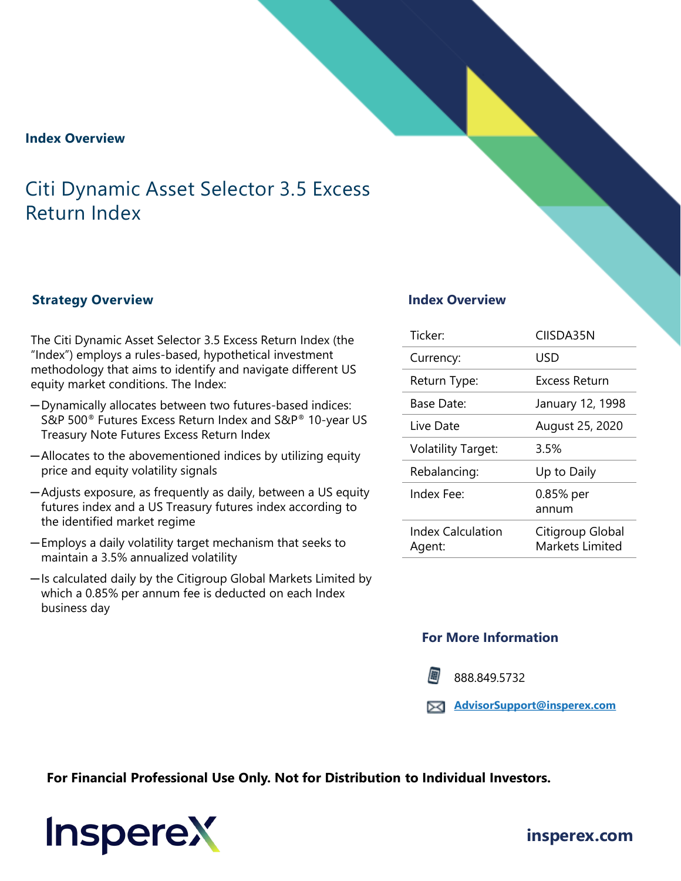#### **Index Overview**

## Citi Dynamic Asset Selector 3.5 Excess Return Index

#### **Strategy Overview**

The Citi Dynamic Asset Selector 3.5 Excess Return Index (the "Index") employs a rules-based, hypothetical investment methodology that aims to identify and navigate different US equity market conditions. The Index:

- ─Dynamically allocates between two futures-based indices: S&P 500® Futures Excess Return Index and S&P® 10-year US Treasury Note Futures Excess Return Index
- ─Allocates to the abovementioned indices by utilizing equity price and equity volatility signals
- ─Adjusts exposure, as frequently as daily, between a US equity futures index and a US Treasury futures index according to the identified market regime
- ─Employs a daily volatility target mechanism that seeks to maintain a 3.5% annualized volatility
- ─Is calculated daily by the Citigroup Global Markets Limited by which a 0.85% per annum fee is deducted on each Index business day

#### **Index Overview**

| Ticker <sup>.</sup>         | CIISDA35N                           |
|-----------------------------|-------------------------------------|
| Currency:                   | USD                                 |
| Return Type:                | Excess Return                       |
| Base Date:                  | January 12, 1998                    |
| Live Date                   | August 25, 2020                     |
| <b>Volatility Target:</b>   | 3.5%                                |
| Rebalancing:                | Up to Daily                         |
| Index Fee:                  | 0.85% per<br>annum                  |
| Index Calculation<br>Agent: | Citigroup Global<br>Markets Limited |

#### **For More Information**

888.849.5732

**[AdvisorSupport@insperex.com](mailto:AdvisorSupport@insperex.com)**

**For Financial Professional Use Only. Not for Distribution to Individual Investors.** 



## **[insperex.com](http://www.insperex.com/)**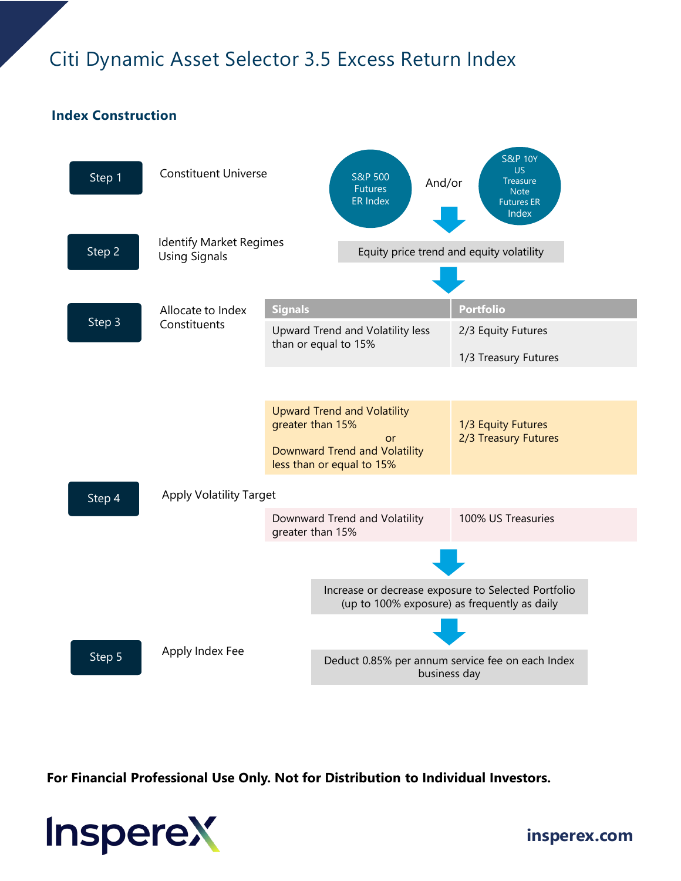# Citi Dynamic Asset Selector 3.5 Excess Return Index

## **Index Construction**



**For Financial Professional Use Only. Not for Distribution to Individual Investors.** 



**[insperex.com](http://www.insperex.com/)**